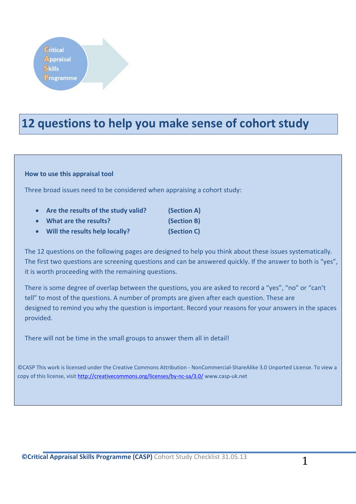### **12 questions to help you make sense of cohort study**

#### **How to use this appraisal tool**

Three broad issues need to be considered when appraising a cohort study:

| $\bullet$ | Are the results of the study valid? | (Section A) |
|-----------|-------------------------------------|-------------|
| $\bullet$ | What are the results?               | (Section B) |
| $\bullet$ | Will the results help locally?      | (Section C) |

The 12 questions on the following pages are designed to help you think about these issues systematically. The first two questions are screening questions and can be answered quickly. If the answer to both is "yes", it is worth proceeding with the remaining questions.

There is some degree of overlap between the questions, you are asked to record a "yes", "no" or "can't tell" to most of the questions. A number of prompts are given after each question. These are designed to remind you why the question is important. Record your reasons for your answers in the spaces provided.

There will not be time in the small groups to answer them all in detail!

©CASP This work is licensed under the Creative Commons Attribution - NonCommercial-ShareAlike 3.0 Unported License. To view a copy of this license, visit<http://creativecommons.org/licenses/by-nc-sa/3.0/> www.casp-uk.net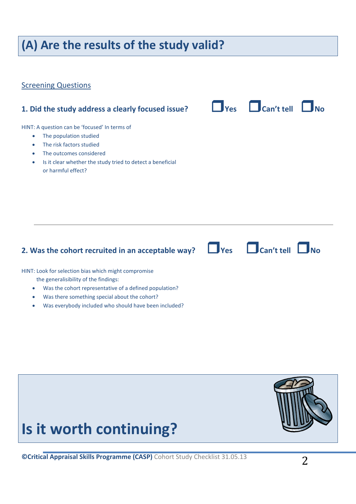### **(A) Are the results of the study valid?**

#### **Screening Questions**

**1. Did the study address a clearly focused issue? Yes Can't tell No** HINT: A question can be 'focused' In terms of • The population studied • The risk factors studied • The outcomes considered • Is it clear whether the study tried to detect a beneficial or harmful effect?

### **2.** Was the cohort recruited in an acceptable way?  $\Box$  Yes  $\Box$  Can't tell  $\Box$  No

HINT: Look for selection bias which might compromise

the generalisibility of the findings:

- Was the cohort representative of a defined population?
- Was there something special about the cohort?
- Was everybody included who should have been included?



## **Is it worth continuing?**

**©Critical Appraisal Skills Programme (CASP)** Cohort Study Checklist 31.05.13 2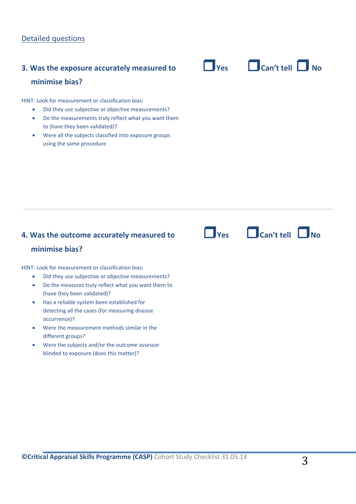# **minimise bias?**

HINT: Look for measurement or classification bias:

- Did they use subjective or objective measurements?
- Do the measurements truly reflect what you want them to (have they been validated)?
- Were all the subjects classified into exposure groups using the same procedure



### **4. Was the outcome accurately measured to Yes Can't tell No**

#### **minimise bias?**

HINT: Look for measurement or classification bias:

- Did they use subjective or objective measurements?
- Do the measures truly reflect what you want them to (have they been validated)?
- Has a reliable system been established for detecting all the cases (for measuring disease occurrence)?
- Were the measurement methods similar in the different groups?
- Were the subjects and/or the outcome assessor blinded to exposure (does this matter)?



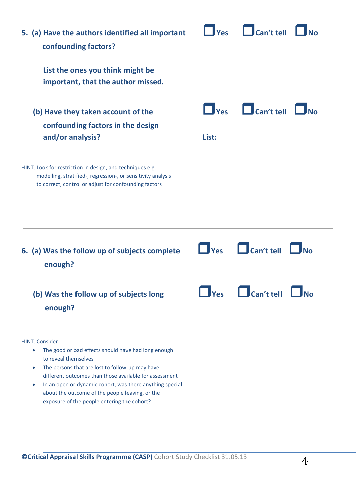| 5. (a) Have the authors identified all important<br>confounding factors?                                                                                                                                                                                                                                                                                                                                               | Yes                           | Can't tell        |            |
|------------------------------------------------------------------------------------------------------------------------------------------------------------------------------------------------------------------------------------------------------------------------------------------------------------------------------------------------------------------------------------------------------------------------|-------------------------------|-------------------|------------|
| List the ones you think might be<br>important, that the author missed.                                                                                                                                                                                                                                                                                                                                                 |                               |                   |            |
| (b) Have they taken account of the<br>confounding factors in the design<br>and/or analysis?                                                                                                                                                                                                                                                                                                                            | <b>Ves</b><br>List:           | $\Box$ Can't tell |            |
| HINT: Look for restriction in design, and techniques e.g.<br>modelling, stratified-, regression-, or sensitivity analysis<br>to correct, control or adjust for confounding factors                                                                                                                                                                                                                                     |                               |                   |            |
| 6. (a) Was the follow up of subjects complete<br>enough?                                                                                                                                                                                                                                                                                                                                                               | $\blacksquare$ $\blacksquare$ | $\Box$ Can't tell |            |
| (b) Was the follow up of subjects long<br>enough?                                                                                                                                                                                                                                                                                                                                                                      | <b>Yes</b>                    | Can't tell        | <b>JNo</b> |
| <b>HINT: Consider</b><br>The good or bad effects should have had long enough<br>$\bullet$<br>to reveal themselves<br>The persons that are lost to follow-up may have<br>$\bullet$<br>different outcomes than those available for assessment<br>In an open or dynamic cohort, was there anything special<br>$\bullet$<br>about the outcome of the people leaving, or the<br>exposure of the people entering the cohort? |                               |                   |            |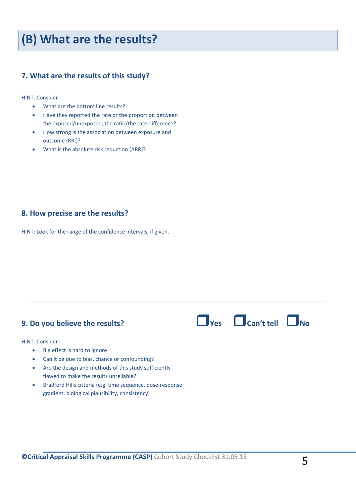### **(B) What are the results?**

#### **7. What are the results of this study?**

HINT: Consider

- What are the bottom line results?
- Have they reported the rate or the proportion between the exposed/unexposed, the ratio/the rate difference?
- How strong is the association between exposure and outcome (RR,)?
- What is the absolute risk reduction (ARR)?

#### **8. How precise are the results?**

HINT: Look for the range of the confidence intervals, if given.

### **9. Do you believe the results? Yes Can't tell No**

HINT: Consider

- Big effect is hard to ignore!
- Can it be due to bias, chance or confounding?
- Are the design and methods of this study sufficiently flawed to make the results unreliable?
- Bradford Hills criteria (e.g. time sequence, dose-response gradient, biological plausibility, consistency)